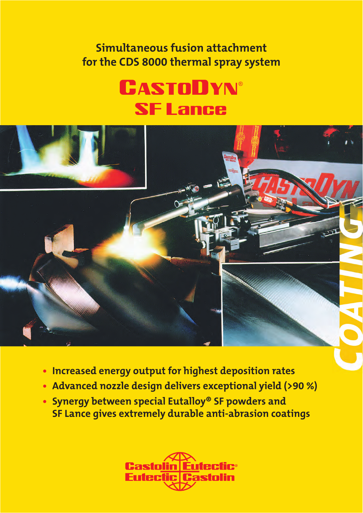**Simultaneous fusion attachment for the CDS 8000 thermal spray system**

## **CASTODYN®** SF Lance



- **Increased energy output for highest deposition rates**
- **Advanced nozzle design delivers exceptional yield (>90 %)**
- **Synergy between special Eutalloy® SF powders and SF Lance gives extremely durable anti-abrasion coatings**